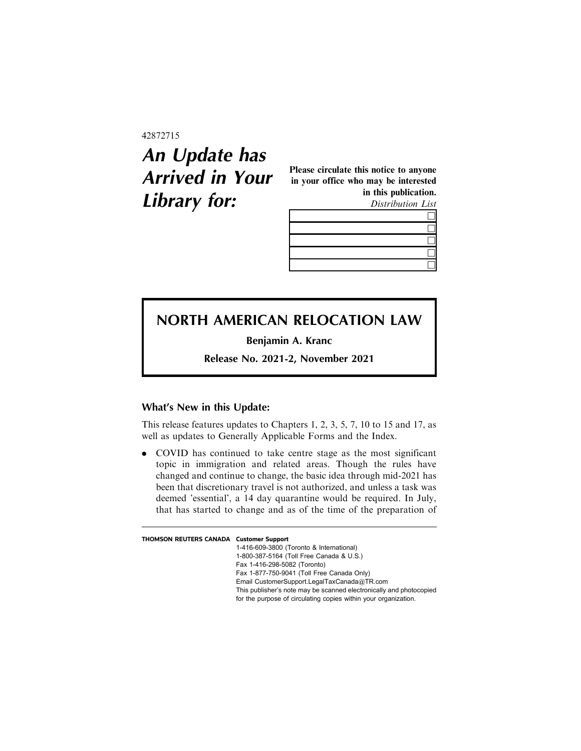## 42872715

## **An Update has Arrived in Your Library for:**

Please circulate this notice to anyone in your office who may be interested in this publication. Distribution List

## **NORTH AMERICAN RELOCATION LAW**

**Benjamin A. Kranc**

**Release No. 2021-2, November 2021**

## **What's New in this Update:**

This release features updates to Chapters 1, 2, 3, 5, 7, 10 to 15 and 17, as well as updates to Generally Applicable Forms and the Index.

. COVID has continued to take centre stage as the most significant topic in immigration and related areas. Though the rules have changed and continue to change, the basic idea through mid-2021 has been that discretionary travel is not authorized, and unless a task was deemed 'essential', a 14 day quarantine would be required. In July, that has started to change and as of the time of the preparation of

| <b>THOMSON REUTERS CANADA Customer Support</b> |                                                                     |
|------------------------------------------------|---------------------------------------------------------------------|
|                                                | 1-416-609-3800 (Toronto & International)                            |
|                                                | 1-800-387-5164 (Toll Free Canada & U.S.)                            |
|                                                | Fax 1-416-298-5082 (Toronto)                                        |
|                                                | Fax 1-877-750-9041 (Toll Free Canada Only)                          |
|                                                | Email CustomerSupport.LegalTaxCanada@TR.com                         |
|                                                | This publisher's note may be scanned electronically and photocopied |
|                                                | for the purpose of circulating copies within your organization.     |
|                                                |                                                                     |